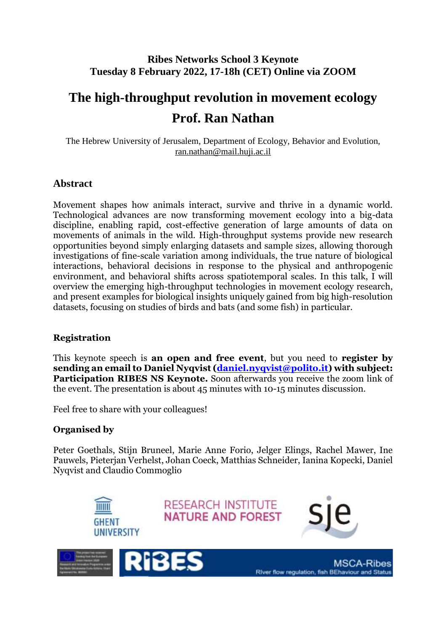# **Ribes Networks School 3 Keynote Tuesday 8 February 2022, 17-18h (CET) Online via ZOOM**

# **The high-throughput revolution in movement ecology Prof. Ran Nathan**

The Hebrew University of Jerusalem, Department of Ecology, Behavior and Evolution, [ran.nathan@mail.huji.ac.il](mailto:ran.nathan@mail.huji.ac.il)

# **Abstract**

Movement shapes how animals interact, survive and thrive in a dynamic world. Technological advances are now transforming movement ecology into a big-data discipline, enabling rapid, cost-effective generation of large amounts of data on movements of animals in the wild. High-throughput systems provide new research opportunities beyond simply enlarging datasets and sample sizes, allowing thorough investigations of fine-scale variation among individuals, the true nature of biological interactions, behavioral decisions in response to the physical and anthropogenic environment, and behavioral shifts across spatiotemporal scales. In this talk, I will overview the emerging high-throughput technologies in movement ecology research, and present examples for biological insights uniquely gained from big high-resolution datasets, focusing on studies of birds and bats (and some fish) in particular.

## **Registration**

This keynote speech is **an open and free event**, but you need to **register by sending an email to Daniel Nyqvist [\(daniel.nyqvist@polito.it\)](mailto:daniel.nyqvist@polito.it) with subject: Participation RIBES NS Keynote.** Soon afterwards you receive the zoom link of the event. The presentation is about 45 minutes with 10-15 minutes discussion.

Feel free to share with your colleagues!

# **Organised by**

Peter Goethals, Stijn Bruneel, Marie Anne Forio, Jelger Elings, Rachel Mawer, Ine Pauwels, Pieterjan Verhelst, Johan Coeck, Matthias Schneider, Ianina Kopecki, Daniel Nyqvist and Claudio Commoglio